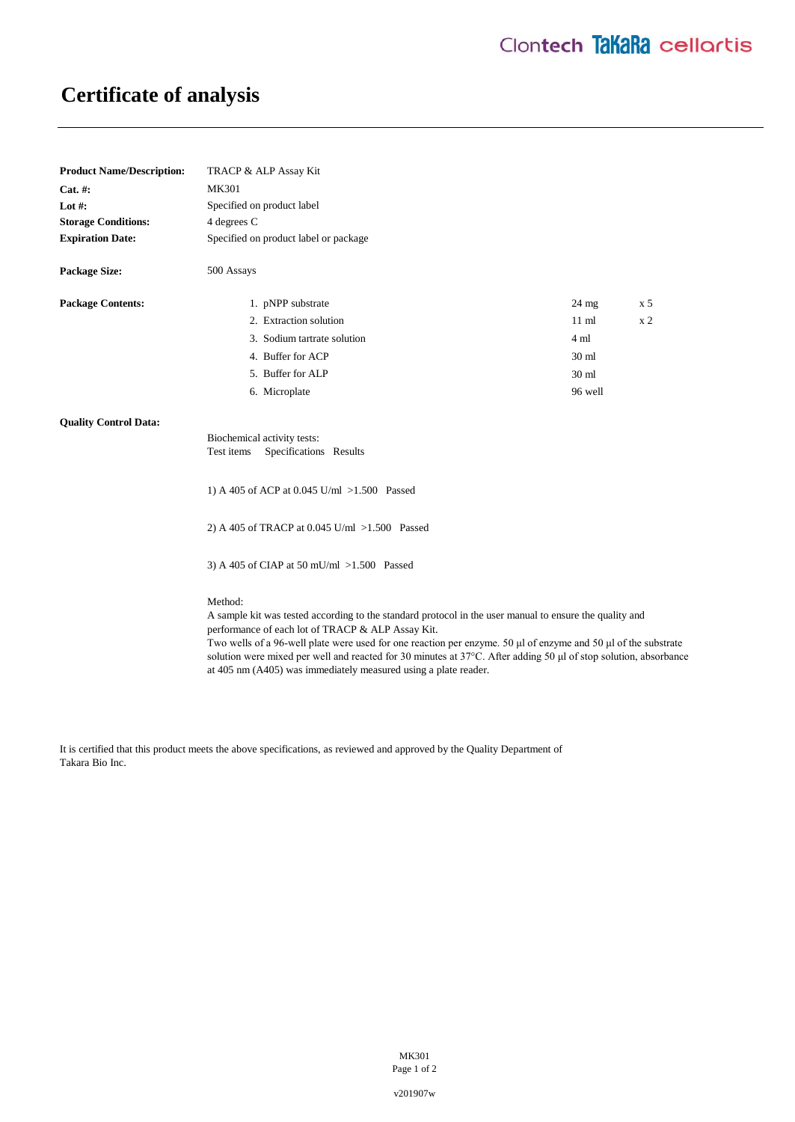## **Certificate of analysis**

| <b>Product Name/Description:</b> | TRACP & ALP Assay Kit                                                                                                                                                                                                                                                                                                                                                                                                                                                            |                  |                |
|----------------------------------|----------------------------------------------------------------------------------------------------------------------------------------------------------------------------------------------------------------------------------------------------------------------------------------------------------------------------------------------------------------------------------------------------------------------------------------------------------------------------------|------------------|----------------|
| Cat. #:                          | <b>MK301</b>                                                                                                                                                                                                                                                                                                                                                                                                                                                                     |                  |                |
| Lot $#$ :                        | Specified on product label                                                                                                                                                                                                                                                                                                                                                                                                                                                       |                  |                |
| <b>Storage Conditions:</b>       | 4 degrees C                                                                                                                                                                                                                                                                                                                                                                                                                                                                      |                  |                |
| <b>Expiration Date:</b>          | Specified on product label or package                                                                                                                                                                                                                                                                                                                                                                                                                                            |                  |                |
| <b>Package Size:</b>             | 500 Assays                                                                                                                                                                                                                                                                                                                                                                                                                                                                       |                  |                |
| <b>Package Contents:</b>         | 1. pNPP substrate                                                                                                                                                                                                                                                                                                                                                                                                                                                                | $24 \text{ mg}$  | x <sub>5</sub> |
|                                  | 2. Extraction solution                                                                                                                                                                                                                                                                                                                                                                                                                                                           | $11 \text{ ml}$  | x <sub>2</sub> |
|                                  | 3. Sodium tartrate solution                                                                                                                                                                                                                                                                                                                                                                                                                                                      | 4 ml             |                |
|                                  | 4. Buffer for ACP                                                                                                                                                                                                                                                                                                                                                                                                                                                                | 30 <sub>ml</sub> |                |
|                                  | 5. Buffer for ALP                                                                                                                                                                                                                                                                                                                                                                                                                                                                | 30 <sub>ml</sub> |                |
|                                  | 6. Microplate                                                                                                                                                                                                                                                                                                                                                                                                                                                                    | 96 well          |                |
| <b>Quality Control Data:</b>     |                                                                                                                                                                                                                                                                                                                                                                                                                                                                                  |                  |                |
|                                  | Biochemical activity tests:<br>Specifications Results<br>Test items                                                                                                                                                                                                                                                                                                                                                                                                              |                  |                |
|                                  | 1) A 405 of ACP at 0.045 U/ml >1.500 Passed                                                                                                                                                                                                                                                                                                                                                                                                                                      |                  |                |
|                                  | 2) A 405 of TRACP at 0.045 U/ml >1.500 Passed                                                                                                                                                                                                                                                                                                                                                                                                                                    |                  |                |
|                                  | 3) A 405 of CIAP at 50 mU/ml >1.500 Passed                                                                                                                                                                                                                                                                                                                                                                                                                                       |                  |                |
|                                  | Method:<br>A sample kit was tested according to the standard protocol in the user manual to ensure the quality and<br>performance of each lot of TRACP & ALP Assay Kit.<br>Two wells of a 96-well plate were used for one reaction per enzyme. 50 µl of enzyme and 50 µl of the substrate<br>solution were mixed per well and reacted for 30 minutes at 37°C. After adding 50 µl of stop solution, absorbance<br>at 405 nm (A405) was immediately measured using a plate reader. |                  |                |

It is certified that this product meets the above specifications, as reviewed and approved by the Quality Department of Takara Bio Inc.

> MK301 Page 1 of 2

v201907w